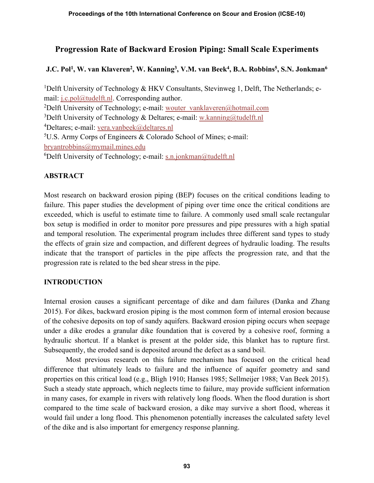# Progression Rate of Backward Erosion Piping: Small Scale Experiments

J.C. Pol<sup>1</sup>, W. van Klaveren<sup>2</sup>, W. Kanning<sup>3</sup>, V.M. van Beek<sup>4</sup>, B.A. Robbins<sup>5</sup>, S.N. Jonkman<sup>6</sup>

<sup>1</sup>Delft University of Technology & HKV Consultants, Stevinweg 1, Delft, The Netherlands; email: j.c.pol@tudelft.nl. Corresponding author. <sup>2</sup>Delft University of Technology; e-mail: wouter vanklaveren@hotmail.com <sup>3</sup>Delft University of Technology & Deltares; e-mail: w.kanning@tudelft.nl <sup>4</sup>Deltares; e-mail: <u>vera.vanbeek@deltares.nl</u><br><sup>5</sup>U.S. Army Corps of Engineers & Colorado School of Mines; e-mail: bryantrobbins@mymail.mines.edu 6Delft University of Technology; e-mail: s.n.jonkman@tudelft.nl

# **ABSTRACT**

Most research on backward erosion piping (BEP) focuses on the critical conditions leading to failure. This paper studies the development of piping over time once the critical conditions are exceeded, which is useful to estimate time to failure. A commonly used small scale rectangular box setup is modified in order to monitor pore pressures and pipe pressures with a high spatial and temporal resolution. The experimental program includes three different sand types to study the effects of grain size and compaction, and different degrees of hydraulic loading. The results indicate that the transport of particles in the pipe affects the progression rate, and that the progression rate is related to the bed shear stress in the pipe.

# INTRODUCTION

Internal erosion causes a significant percentage of dike and dam failures (Danka and Zhang 2015). For dikes, backward erosion piping is the most common form of internal erosion because of the cohesive deposits on top of sandy aquifers. Backward erosion piping occurs when seepage under a dike erodes a granular dike foundation that is covered by a cohesive roof, forming a hydraulic shortcut. If a blanket is present at the polder side, this blanket has to rupture first. Subsequently, the eroded sand is deposited around the defect as a sand boil.

Most previous research on this failure mechanism has focused on the critical head difference that ultimately leads to failure and the influence of aquifer geometry and sand properties on this critical load (e.g., Bligh 1910; Hanses 1985; Sellmeijer 1988; Van Beek 2015). Such a steady state approach, which neglects time to failure, may provide sufficient information in many cases, for example in rivers with relatively long floods. When the flood duration is short compared to the time scale of backward erosion, a dike may survive a short flood, whereas it would fail under a long flood. This phenomenon potentially increases the calculated safety level of the dike and is also important for emergency response planning.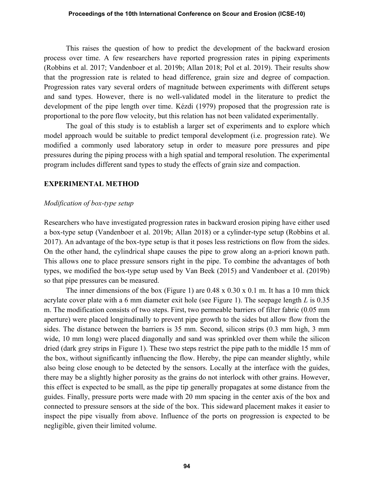#### Proceedings of the 10th International Conference on Scour and Erosion (ICSE-10)

This raises the question of how to predict the development of the backward erosion process over time. A few researchers have reported progression rates in piping experiments (Robbins et al. 2017; Vandenboer et al. 2019b; Allan 2018; Pol et al. 2019). Their results show that the progression rate is related to head difference, grain size and degree of compaction. Progression rates vary several orders of magnitude between experiments with different setups and sand types. However, there is no well-validated model in the literature to predict the development of the pipe length over time. Kézdi (1979) proposed that the progression rate is proportional to the pore flow velocity, but this relation has not been validated experimentally.

The goal of this study is to establish a larger set of experiments and to explore which model approach would be suitable to predict temporal development (i.e. progression rate). We modified a commonly used laboratory setup in order to measure pore pressures and pipe pressures during the piping process with a high spatial and temporal resolution. The experimental program includes different sand types to study the effects of grain size and compaction.

#### EXPERIMENTAL METHOD

#### Modification of box-type setup

Researchers who have investigated progression rates in backward erosion piping have either used a box-type setup (Vandenboer et al. 2019b; Allan 2018) or a cylinder-type setup (Robbins et al. 2017). An advantage of the box-type setup is that it poses less restrictions on flow from the sides. On the other hand, the cylindrical shape causes the pipe to grow along an a-priori known path. This allows one to place pressure sensors right in the pipe. To combine the advantages of both types, we modified the box-type setup used by Van Beek (2015) and Vandenboer et al. (2019b) so that pipe pressures can be measured.

The inner dimensions of the box (Figure 1) are  $0.48 \times 0.30 \times 0.1$  m. It has a 10 mm thick acrylate cover plate with a 6 mm diameter exit hole (see Figure 1). The seepage length L is 0.35 m. The modification consists of two steps. First, two permeable barriers of filter fabric (0.05 mm aperture) were placed longitudinally to prevent pipe growth to the sides but allow flow from the sides. The distance between the barriers is 35 mm. Second, silicon strips (0.3 mm high, 3 mm wide, 10 mm long) were placed diagonally and sand was sprinkled over them while the silicon dried (dark grey strips in Figure 1). These two steps restrict the pipe path to the middle 15 mm of the box, without significantly influencing the flow. Hereby, the pipe can meander slightly, while also being close enough to be detected by the sensors. Locally at the interface with the guides, there may be a slightly higher porosity as the grains do not interlock with other grains. However, this effect is expected to be small, as the pipe tip generally propagates at some distance from the guides. Finally, pressure ports were made with 20 mm spacing in the center axis of the box and connected to pressure sensors at the side of the box. This sideward placement makes it easier to inspect the pipe visually from above. Influence of the ports on progression is expected to be negligible, given their limited volume.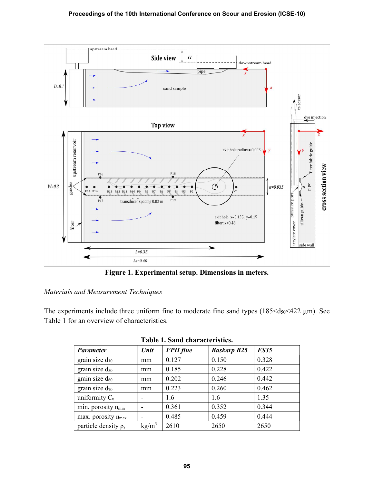

Figure 1. Experimental setup. Dimensions in meters.

### Materials and Measurement Techniques

The experiments include three uniform fine to moderate fine sand types  $(185 \leq d_{50} \leq 422 \text{ }\mu\text{m})$ . See Table 1 for an overview of characteristics.

|                                |                          | Tavit 1. Daha thalattu istits. |                    |             |
|--------------------------------|--------------------------|--------------------------------|--------------------|-------------|
| <b>Parameter</b>               | Unit                     | <b>FPH</b> fine                | <b>Baskarp B25</b> | <b>FS35</b> |
| grain size $d_{10}$            | mm                       | 0.127                          | 0.150              | 0.328       |
| grain size $d_{50}$            | mm                       | 0.185                          | 0.228              | 0.422       |
| grain size $d_{60}$            | mm                       | 0.202                          | 0.246              | 0.442       |
| grain size $d_{70}$            | mm                       | 0.223                          | 0.260              | 0.462       |
| uniformity $C_u$               | -                        | 1.6                            | 1.6                | 1.35        |
| min. porosity n <sub>min</sub> | -                        | 0.361                          | 0.352              | 0.344       |
| max. porosity n <sub>max</sub> | $\overline{\phantom{0}}$ | 0.485                          | 0.459              | 0.444       |
| particle density $\rho_s$      | $kg/m^3$                 | 2610                           | 2650               | 2650        |

|  |  | Table 1. Sand characteristics. |  |
|--|--|--------------------------------|--|
|--|--|--------------------------------|--|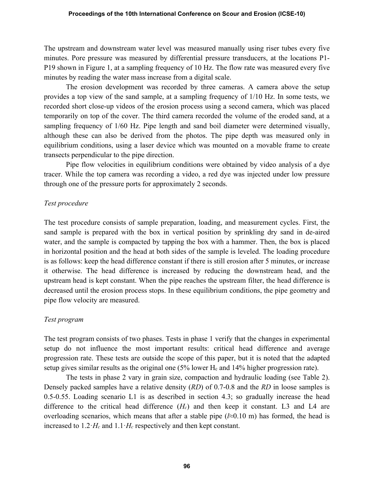The upstream and downstream water level was measured manually using riser tubes every five minutes. Pore pressure was measured by differential pressure transducers, at the locations P1- P19 shown in Figure 1, at a sampling frequency of 10 Hz. The flow rate was measured every five minutes by reading the water mass increase from a digital scale.

The erosion development was recorded by three cameras. A camera above the setup provides a top view of the sand sample, at a sampling frequency of 1/10 Hz. In some tests, we recorded short close-up videos of the erosion process using a second camera, which was placed temporarily on top of the cover. The third camera recorded the volume of the eroded sand, at a sampling frequency of 1/60 Hz. Pipe length and sand boil diameter were determined visually, although these can also be derived from the photos. The pipe depth was measured only in equilibrium conditions, using a laser device which was mounted on a movable frame to create transects perpendicular to the pipe direction.

Pipe flow velocities in equilibrium conditions were obtained by video analysis of a dye tracer. While the top camera was recording a video, a red dye was injected under low pressure through one of the pressure ports for approximately 2 seconds.

### Test procedure

The test procedure consists of sample preparation, loading, and measurement cycles. First, the sand sample is prepared with the box in vertical position by sprinkling dry sand in de-aired water, and the sample is compacted by tapping the box with a hammer. Then, the box is placed in horizontal position and the head at both sides of the sample is leveled. The loading procedure is as follows: keep the head difference constant if there is still erosion after 5 minutes, or increase it otherwise. The head difference is increased by reducing the downstream head, and the upstream head is kept constant. When the pipe reaches the upstream filter, the head difference is decreased until the erosion process stops. In these equilibrium conditions, the pipe geometry and pipe flow velocity are measured.

## Test program

The test program consists of two phases. Tests in phase 1 verify that the changes in experimental setup do not influence the most important results: critical head difference and average progression rate. These tests are outside the scope of this paper, but it is noted that the adapted setup gives similar results as the original one (5% lower H<sub>c</sub> and 14% higher progression rate).

The tests in phase 2 vary in grain size, compaction and hydraulic loading (see Table 2). Densely packed samples have a relative density (RD) of 0.7-0.8 and the RD in loose samples is 0.5-0.55. Loading scenario L1 is as described in section 4.3; so gradually increase the head difference to the critical head difference  $(H<sub>c</sub>)$  and then keep it constant. L3 and L4 are overloading scenarios, which means that after a stable pipe  $(2\approx 0.10 \text{ m})$  has formed, the head is increased to  $1.2 \cdot H_c$  and  $1.1 \cdot H_c$  respectively and then kept constant.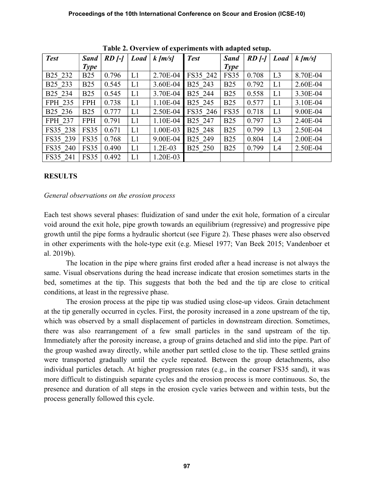| Table 2. Overview of experiments with auapteu setup. |             |                         |             |              |                     |             |                         |                |           |
|------------------------------------------------------|-------------|-------------------------|-------------|--------------|---------------------|-------------|-------------------------|----------------|-----------|
| <b>Test</b>                                          | Sand        | $RD$ $\left  - \right $ | $Load \mid$ | $k \,  m/s $ | <b>Test</b>         | <b>Sand</b> | $RD$ $\left  - \right $ | $Load \mid$    | $k$ [m/s] |
|                                                      | <b>Type</b> |                         |             |              |                     | <b>Type</b> |                         |                |           |
| B <sub>25</sub> 23 <sub>2</sub>                      | <b>B25</b>  | 0.796                   | L1          | 2.70E-04     | FS35 242            | <b>FS35</b> | 0.708                   | L <sub>3</sub> | 8.70E-04  |
| B <sub>25</sub> 233                                  | <b>B25</b>  | 0.545                   | L1          | 3.60E-04     | B <sub>25</sub> 243 | <b>B25</b>  | 0.792                   | L1             | 2.60E-04  |
| B <sub>25</sub> 234                                  | <b>B25</b>  | 0.545                   | L1          | 3.70E-04     | B25 244             | <b>B25</b>  | 0.558                   | L1             | 3.30E-04  |
| FPH 235                                              | <b>FPH</b>  | 0.738                   | L1          | 1.10E-04     | B <sub>25</sub> 245 | <b>B25</b>  | 0.577                   | L1             | 3.10E-04  |
| B <sub>25</sub> 236                                  | <b>B25</b>  | 0.777                   | L1          | 2.50E-04     | FS35 246            | <b>FS35</b> | 0.718                   | L1             | 9.00E-04  |
| FPH 237                                              | <b>FPH</b>  | 0.791                   | L1          | 1.10E-04     | B <sub>25</sub> 247 | <b>B25</b>  | 0.797                   | L <sub>3</sub> | 2.40E-04  |
| FS35 238                                             | <b>FS35</b> | 0.671                   | L1          | 1.00E-03     | B <sub>25</sub> 248 | <b>B25</b>  | 0.799                   | L <sub>3</sub> | 2.50E-04  |
| FS35 239                                             | <b>FS35</b> | 0.768                   | L1          | 9.00E-04     | B <sub>25</sub> 249 | <b>B25</b>  | 0.804                   | L4             | 2.00E-04  |
| FS35 240                                             | <b>FS35</b> | 0.490                   | L1          | $1.2E-03$    | B <sub>25</sub> 250 | <b>B25</b>  | 0.799                   | L4             | 2.50E-04  |
| FS35 241                                             | FS35        | 0.492                   | L1          | 1.20E-03     |                     |             |                         |                |           |

Table 2. Overview of experiments with adapted setup.

## RESULTS

### General observations on the erosion process

Each test shows several phases: fluidization of sand under the exit hole, formation of a circular void around the exit hole, pipe growth towards an equilibrium (regressive) and progressive pipe growth until the pipe forms a hydraulic shortcut (see Figure 2). These phases were also observed in other experiments with the hole-type exit (e.g. Miesel 1977; Van Beek 2015; Vandenboer et al. 2019b).

The location in the pipe where grains first eroded after a head increase is not always the same. Visual observations during the head increase indicate that erosion sometimes starts in the bed, sometimes at the tip. This suggests that both the bed and the tip are close to critical conditions, at least in the regressive phase.

The erosion process at the pipe tip was studied using close-up videos. Grain detachment at the tip generally occurred in cycles. First, the porosity increased in a zone upstream of the tip, which was observed by a small displacement of particles in downstream direction. Sometimes, there was also rearrangement of a few small particles in the sand upstream of the tip. Immediately after the porosity increase, a group of grains detached and slid into the pipe. Part of the group washed away directly, while another part settled close to the tip. These settled grains were transported gradually until the cycle repeated. Between the group detachments, also individual particles detach. At higher progression rates (e.g., in the coarser FS35 sand), it was more difficult to distinguish separate cycles and the erosion process is more continuous. So, the presence and duration of all steps in the erosion cycle varies between and within tests, but the process generally followed this cycle.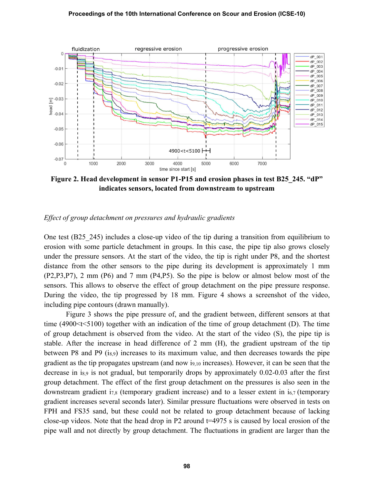#### Proceedings of the 10th International Conference on Scour and Erosion (ICSE-10)



Figure 2. Head development in sensor P1-P15 and erosion phases in test B25 245. "dP" indicates sensors, located from downstream to upstream

#### Effect of group detachment on pressures and hydraulic gradients

One test (B25\_245) includes a close-up video of the tip during a transition from equilibrium to erosion with some particle detachment in groups. In this case, the pipe tip also grows closely under the pressure sensors. At the start of the video, the tip is right under P8, and the shortest distance from the other sensors to the pipe during its development is approximately 1 mm (P2,P3,P7), 2 mm (P6) and 7 mm (P4,P5). So the pipe is below or almost below most of the sensors. This allows to observe the effect of group detachment on the pipe pressure response. During the video, the tip progressed by 18 mm. Figure 4 shows a screenshot of the video, including pipe contours (drawn manually).

Figure 3 shows the pipe pressure of, and the gradient between, different sensors at that time (4900 $\lt$ t $\lt$ 5100) together with an indication of the time of group detachment (D). The time of group detachment is observed from the video. At the start of the video (S), the pipe tip is stable. After the increase in head difference of 2 mm (H), the gradient upstream of the tip between P8 and P9  $(i_{8.9})$  increases to its maximum value, and then decreases towards the pipe gradient as the tip propagates upstream (and now i9,10 increases). However, it can be seen that the decrease in i<sub>8,9</sub> is not gradual, but temporarily drops by approximately 0.02-0.03 after the first group detachment. The effect of the first group detachment on the pressures is also seen in the downstream gradient i<sub>7,8</sub> (temporary gradient increase) and to a lesser extent in i<sub>6,7</sub> (temporary gradient increases several seconds later). Similar pressure fluctuations were observed in tests on FPH and FS35 sand, but these could not be related to group detachment because of lacking close-up videos. Note that the head drop in P2 around t=4975 s is caused by local erosion of the pipe wall and not directly by group detachment. The fluctuations in gradient are larger than the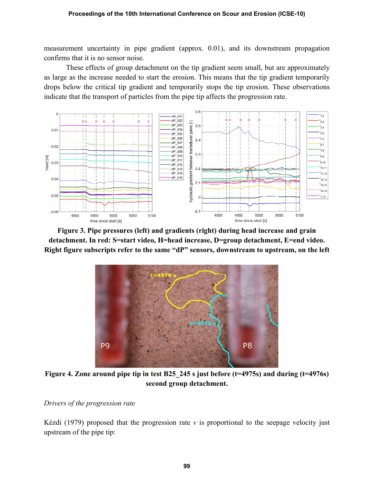measurement uncertainty in pipe gradient (approx. 0.01), and its downstream propagation confirms that it is no sensor noise.

These effects of group detachment on the tip gradient seem small, but are approximately as large as the increase needed to start the erosion. This means that the tip gradient temporarily drops below the critical tip gradient and temporarily stops the tip erosion. These observations indicate that the transport of particles from the pipe tip affects the progression rate.



Figure 3. Pipe pressures (left) and gradients (right) during head increase and grain detachment. In red: S=start video, H=head increase, D=group detachment, E=end video. Right figure subscripts refer to the same "dP" sensors, downstream to upstream, on the left



Figure 4. Zone around pipe tip in test B25 245 s just before (t=4975s) and during (t=4976s) second group detachment.

Drivers of the progression rate

Kézdi (1979) proposed that the progression rate  $v$  is proportional to the seepage velocity just upstream of the pipe tip: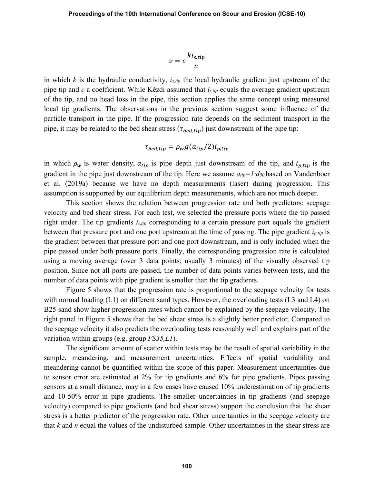$$
v = c \frac{k i_{s,tip}}{n}
$$

in which  $k$  is the hydraulic conductivity,  $i_{s,tip}$  the local hydraulic gradient just upstream of the pipe tip and c a coefficient. While Kézdi assumed that  $i_{s,tip}$  equals the average gradient upstream of the tip, and no head loss in the pipe, this section applies the same concept using measured local tip gradients. The observations in the previous section suggest some influence of the particle transport in the pipe. If the progression rate depends on the sediment transport in the pipe, it may be related to the bed shear stress ( $\tau_{\text{bed,tip}}$ ) just downstream of the pipe tip:

$$
\tau_{bed,tip} = \rho_w g(a_{tip}/2)i_{p,tip}
$$

in which  $\rho_w$  is water density,  $a_{tip}$  is pipe depth just downstream of the tip, and  $i_{p,tip}$  is the gradient in the pipe just downstream of the tip. Here we assume  $a_{tip} = 1 \cdot ds_0$  based on Vandenboer et al. (2019a) because we have no depth measurements (laser) during progression. This assumption is supported by our equilibrium depth measurements, which are not much deeper.

This section shows the relation between progression rate and both predictors: seepage velocity and bed shear stress. For each test, we selected the pressure ports where the tip passed right under. The tip gradients  $i_{s,tip}$  corresponding to a certain pressure port equals the gradient between that pressure port and one port upstream at the time of passing. The pipe gradient  $i_{p,tip}$  is the gradient between that pressure port and one port downstream, and is only included when the pipe passed under both pressure ports. Finally, the corresponding progression rate is calculated using a moving average (over 3 data points; usually 3 minutes) of the visually observed tip position. Since not all ports are passed, the number of data points varies between tests, and the number of data points with pipe gradient is smaller than the tip gradients.

Figure 5 shows that the progression rate is proportional to the seepage velocity for tests with normal loading (L1) on different sand types. However, the overloading tests (L3 and L4) on B25 sand show higher progression rates which cannot be explained by the seepage velocity. The right panel in Figure 5 shows that the bed shear stress is a slightly better predictor. Compared to the seepage velocity it also predicts the overloading tests reasonably well and explains part of the variation within groups (e.g. group FS35,L1).

The significant amount of scatter within tests may be the result of spatial variability in the sample, meandering, and measurement uncertainties. Effects of spatial variability and meandering cannot be quantified within the scope of this paper. Measurement uncertainties due to sensor error are estimated at 2% for tip gradients and 6% for pipe gradients. Pipes passing sensors at a small distance, may in a few cases have caused 10% underestimation of tip gradients and 10-50% error in pipe gradients. The smaller uncertainties in tip gradients (and seepage velocity) compared to pipe gradients (and bed shear stress) support the conclusion that the shear stress is a better predictor of the progression rate. Other uncertainties in the seepage velocity are that  $k$  and  $n$  equal the values of the undisturbed sample. Other uncertainties in the shear stress are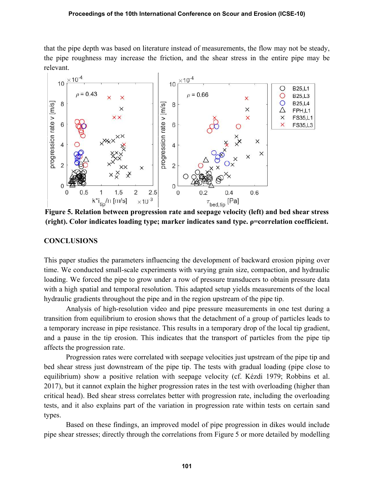#### Proceedings of the 10th International Conference on Scour and Erosion (ICSE-10)

that the pipe depth was based on literature instead of measurements, the flow may not be steady, the pipe roughness may increase the friction, and the shear stress in the entire pipe may be relevant.



(right). Color indicates loading type; marker indicates sand type.  $p=correlation coefficient$ .

#### **CONCLUSIONS**

This paper studies the parameters influencing the development of backward erosion piping over time. We conducted small-scale experiments with varying grain size, compaction, and hydraulic loading. We forced the pipe to grow under a row of pressure transducers to obtain pressure data with a high spatial and temporal resolution. This adapted setup yields measurements of the local hydraulic gradients throughout the pipe and in the region upstream of the pipe tip.

Analysis of high-resolution video and pipe pressure measurements in one test during a transition from equilibrium to erosion shows that the detachment of a group of particles leads to a temporary increase in pipe resistance. This results in a temporary drop of the local tip gradient, and a pause in the tip erosion. This indicates that the transport of particles from the pipe tip affects the progression rate.

Progression rates were correlated with seepage velocities just upstream of the pipe tip and bed shear stress just downstream of the pipe tip. The tests with gradual loading (pipe close to equilibrium) show a positive relation with seepage velocity (cf. Kézdi 1979; Robbins et al. 2017), but it cannot explain the higher progression rates in the test with overloading (higher than critical head). Bed shear stress correlates better with progression rate, including the overloading tests, and it also explains part of the variation in progression rate within tests on certain sand types.

Based on these findings, an improved model of pipe progression in dikes would include pipe shear stresses; directly through the correlations from Figure 5 or more detailed by modelling